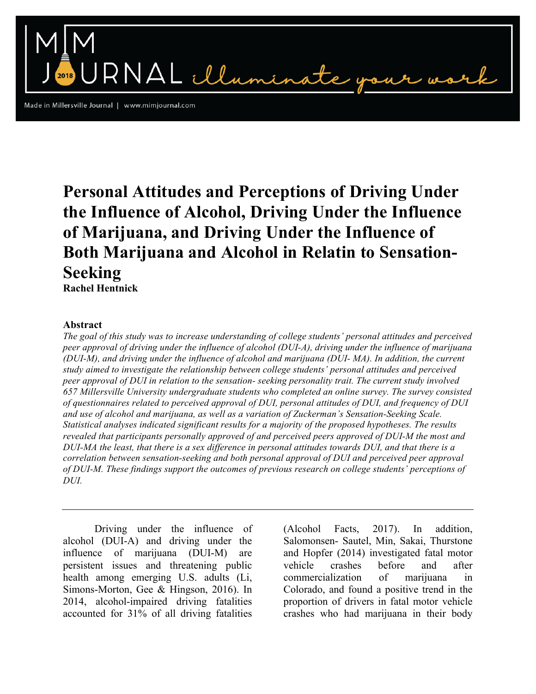Made in Millersville Journal | www.mimjournal.com

# **Personal Attitudes and Perceptions of Driving Under the Influence of Alcohol, Driving Under the Influence of Marijuana, and Driving Under the Influence of Both Marijuana and Alcohol in Relatin to Sensation-Seeking**

NAL illumin

**Rachel Hentnick**

# **Abstract**

*The goal of this study was to increase understanding of college students' personal attitudes and perceived peer approval of driving under the influence of alcohol (DUI-A), driving under the influence of marijuana (DUI-M), and driving under the influence of alcohol and marijuana (DUI- MA). In addition, the current study aimed to investigate the relationship between college students' personal attitudes and perceived peer approval of DUI in relation to the sensation- seeking personality trait. The current study involved 657 Millersville University undergraduate students who completed an online survey. The survey consisted of questionnaires related to perceived approval of DUI, personal attitudes of DUI, and frequency of DUI and use of alcohol and marijuana, as well as a variation of Zuckerman's Sensation-Seeking Scale. Statistical analyses indicated significant results for a majority of the proposed hypotheses. The results revealed that participants personally approved of and perceived peers approved of DUI-M the most and DUI-MA the least, that there is a sex difference in personal attitudes towards DUI, and that there is a correlation between sensation-seeking and both personal approval of DUI and perceived peer approval of DUI-M. These findings support the outcomes of previous research on college students' perceptions of DUI.* 

Driving under the influence of alcohol (DUI-A) and driving under the influence of marijuana (DUI-M) are persistent issues and threatening public health among emerging U.S. adults (Li, Simons-Morton, Gee & Hingson, 2016). In 2014, alcohol-impaired driving fatalities accounted for 31% of all driving fatalities

(Alcohol Facts, 2017). In addition, Salomonsen- Sautel, Min, Sakai, Thurstone and Hopfer (2014) investigated fatal motor vehicle crashes before and after commercialization of marijuana in Colorado, and found a positive trend in the proportion of drivers in fatal motor vehicle crashes who had marijuana in their body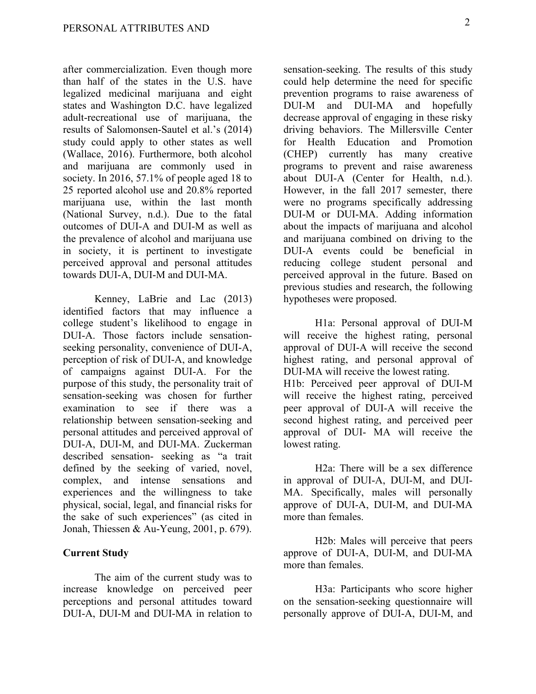after commercialization. Even though more than half of the states in the U.S. have legalized medicinal marijuana and eight states and Washington D.C. have legalized adult-recreational use of marijuana, the results of Salomonsen-Sautel et al.'s (2014) study could apply to other states as well (Wallace, 2016). Furthermore, both alcohol and marijuana are commonly used in society. In 2016, 57.1% of people aged 18 to 25 reported alcohol use and 20.8% reported marijuana use, within the last month (National Survey, n.d.). Due to the fatal outcomes of DUI-A and DUI-M as well as the prevalence of alcohol and marijuana use in society, it is pertinent to investigate perceived approval and personal attitudes towards DUI-A, DUI-M and DUI-MA.

Kenney, LaBrie and Lac (2013) identified factors that may influence a college student's likelihood to engage in DUI-A. Those factors include sensationseeking personality, convenience of DUI-A, perception of risk of DUI-A, and knowledge of campaigns against DUI-A. For the purpose of this study, the personality trait of sensation-seeking was chosen for further examination to see if there was a relationship between sensation-seeking and personal attitudes and perceived approval of DUI-A, DUI-M, and DUI-MA. Zuckerman described sensation- seeking as "a trait defined by the seeking of varied, novel, complex, and intense sensations and experiences and the willingness to take physical, social, legal, and financial risks for the sake of such experiences" (as cited in Jonah, Thiessen & Au-Yeung, 2001, p. 679).

## **Current Study**

The aim of the current study was to increase knowledge on perceived peer perceptions and personal attitudes toward DUI-A, DUI-M and DUI-MA in relation to

sensation-seeking. The results of this study could help determine the need for specific prevention programs to raise awareness of DUI-M and DUI-MA and hopefully decrease approval of engaging in these risky driving behaviors. The Millersville Center for Health Education and Promotion (CHEP) currently has many creative programs to prevent and raise awareness about DUI-A (Center for Health, n.d.). However, in the fall 2017 semester, there were no programs specifically addressing DUI-M or DUI-MA. Adding information about the impacts of marijuana and alcohol and marijuana combined on driving to the DUI-A events could be beneficial in reducing college student personal and perceived approval in the future. Based on previous studies and research, the following hypotheses were proposed.

H1a: Personal approval of DUI-M will receive the highest rating, personal approval of DUI-A will receive the second highest rating, and personal approval of DUI-MA will receive the lowest rating. H1b: Perceived peer approval of DUI-M will receive the highest rating, perceived peer approval of DUI-A will receive the second highest rating, and perceived peer approval of DUI- MA will receive the lowest rating.

H2a: There will be a sex difference in approval of DUI-A, DUI-M, and DUI-MA. Specifically, males will personally approve of DUI-A, DUI-M, and DUI-MA more than females.

H2b: Males will perceive that peers approve of DUI-A, DUI-M, and DUI-MA more than females.

H3a: Participants who score higher on the sensation-seeking questionnaire will personally approve of DUI-A, DUI-M, and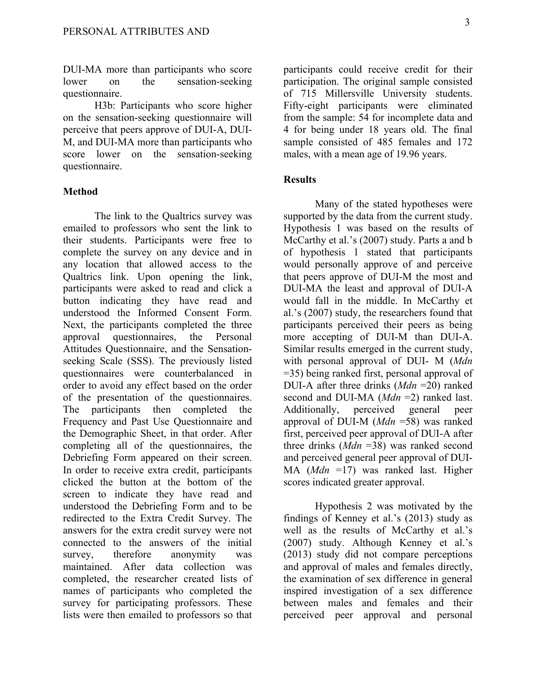DUI-MA more than participants who score lower on the sensation-seeking questionnaire.

H3b: Participants who score higher on the sensation-seeking questionnaire will perceive that peers approve of DUI-A, DUI-M, and DUI-MA more than participants who score lower on the sensation-seeking questionnaire.

#### **Method**

The link to the Qualtrics survey was emailed to professors who sent the link to their students. Participants were free to complete the survey on any device and in any location that allowed access to the Qualtrics link. Upon opening the link, participants were asked to read and click a button indicating they have read and understood the Informed Consent Form. Next, the participants completed the three approval questionnaires, the Personal Attitudes Questionnaire, and the Sensationseeking Scale (SSS). The previously listed questionnaires were counterbalanced in order to avoid any effect based on the order of the presentation of the questionnaires. The participants then completed the Frequency and Past Use Questionnaire and the Demographic Sheet, in that order. After completing all of the questionnaires, the Debriefing Form appeared on their screen. In order to receive extra credit, participants clicked the button at the bottom of the screen to indicate they have read and understood the Debriefing Form and to be redirected to the Extra Credit Survey. The answers for the extra credit survey were not connected to the answers of the initial survey, therefore anonymity was maintained. After data collection was completed, the researcher created lists of names of participants who completed the survey for participating professors. These lists were then emailed to professors so that

participants could receive credit for their participation. The original sample consisted of 715 Millersville University students. Fifty-eight participants were eliminated from the sample: 54 for incomplete data and 4 for being under 18 years old. The final sample consisted of 485 females and 172 males, with a mean age of 19.96 years.

# **Results**

Many of the stated hypotheses were supported by the data from the current study. Hypothesis 1 was based on the results of McCarthy et al.'s (2007) study. Parts a and b of hypothesis 1 stated that participants would personally approve of and perceive that peers approve of DUI-M the most and DUI-MA the least and approval of DUI-A would fall in the middle. In McCarthy et al.'s (2007) study, the researchers found that participants perceived their peers as being more accepting of DUI-M than DUI-A. Similar results emerged in the current study, with personal approval of DUI- M (*Mdn*  =35) being ranked first, personal approval of DUI-A after three drinks (*Mdn* =20) ranked second and DUI-MA (*Mdn* =2) ranked last. Additionally, perceived general peer approval of DUI-M (*Mdn* =58) was ranked first, perceived peer approval of DUI-A after three drinks (*Mdn* =38) was ranked second and perceived general peer approval of DUI-MA (*Mdn* =17) was ranked last. Higher scores indicated greater approval.

Hypothesis 2 was motivated by the findings of Kenney et al.'s (2013) study as well as the results of McCarthy et al.'s (2007) study. Although Kenney et al.'s (2013) study did not compare perceptions and approval of males and females directly, the examination of sex difference in general inspired investigation of a sex difference between males and females and their perceived peer approval and personal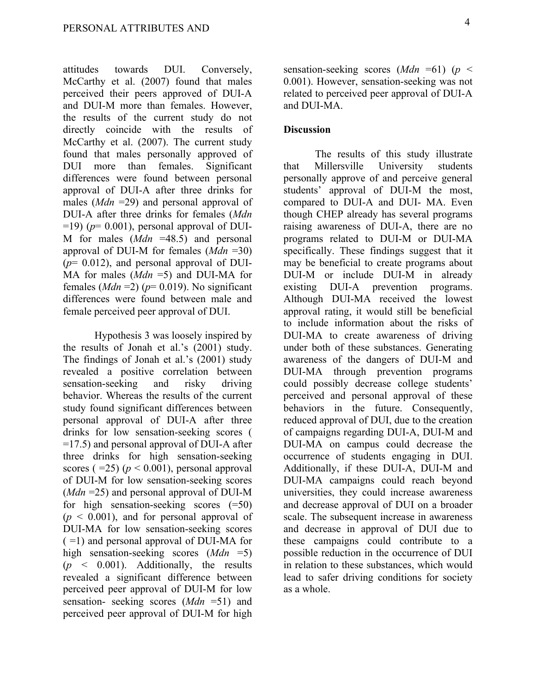attitudes towards DUI. Conversely, McCarthy et al. (2007) found that males perceived their peers approved of DUI-A and DUI-M more than females. However, the results of the current study do not directly coincide with the results of McCarthy et al. (2007). The current study found that males personally approved of DUI more than females. Significant differences were found between personal approval of DUI-A after three drinks for males (*Mdn* =29) and personal approval of DUI-A after three drinks for females (*Mdn*   $=$ 19) ( $p$ = 0.001), personal approval of DUI-M for males (*Mdn* =48.5) and personal approval of DUI-M for females (*Mdn* =30)  $(p= 0.012)$ , and personal approval of DUI-MA for males (*Mdn* =5) and DUI-MA for females  $(Mdn = 2)$  ( $p = 0.019$ ). No significant differences were found between male and female perceived peer approval of DUI.

Hypothesis 3 was loosely inspired by the results of Jonah et al.'s (2001) study. The findings of Jonah et al.'s (2001) study revealed a positive correlation between sensation-seeking and risky driving behavior. Whereas the results of the current study found significant differences between personal approval of DUI-A after three drinks for low sensation-seeking scores ( =17.5) and personal approval of DUI-A after three drinks for high sensation-seeking scores  $(=25)$   $(p < 0.001)$ , personal approval of DUI-M for low sensation-seeking scores (*Mdn* =25) and personal approval of DUI-M for high sensation-seeking scores (=50)  $(p \le 0.001)$ , and for personal approval of DUI-MA for low sensation-seeking scores ( =1) and personal approval of DUI-MA for high sensation-seeking scores (*Mdn* =5)  $(p \leq 0.001)$ . Additionally, the results revealed a significant difference between perceived peer approval of DUI-M for low sensation- seeking scores (*Mdn* =51) and perceived peer approval of DUI-M for high

sensation-seeking scores (*Mdn* =61) (*p* < 0.001). However, sensation-seeking was not related to perceived peer approval of DUI-A and DUI-MA.

# **Discussion**

The results of this study illustrate that Millersville University students personally approve of and perceive general students' approval of DUI-M the most, compared to DUI-A and DUI- MA. Even though CHEP already has several programs raising awareness of DUI-A, there are no programs related to DUI-M or DUI-MA specifically. These findings suggest that it may be beneficial to create programs about DUI-M or include DUI-M in already existing DUI-A prevention programs. Although DUI-MA received the lowest approval rating, it would still be beneficial to include information about the risks of DUI-MA to create awareness of driving under both of these substances. Generating awareness of the dangers of DUI-M and DUI-MA through prevention programs could possibly decrease college students' perceived and personal approval of these behaviors in the future. Consequently, reduced approval of DUI, due to the creation of campaigns regarding DUI-A, DUI-M and DUI-MA on campus could decrease the occurrence of students engaging in DUI. Additionally, if these DUI-A, DUI-M and DUI-MA campaigns could reach beyond universities, they could increase awareness and decrease approval of DUI on a broader scale. The subsequent increase in awareness and decrease in approval of DUI due to these campaigns could contribute to a possible reduction in the occurrence of DUI in relation to these substances, which would lead to safer driving conditions for society as a whole.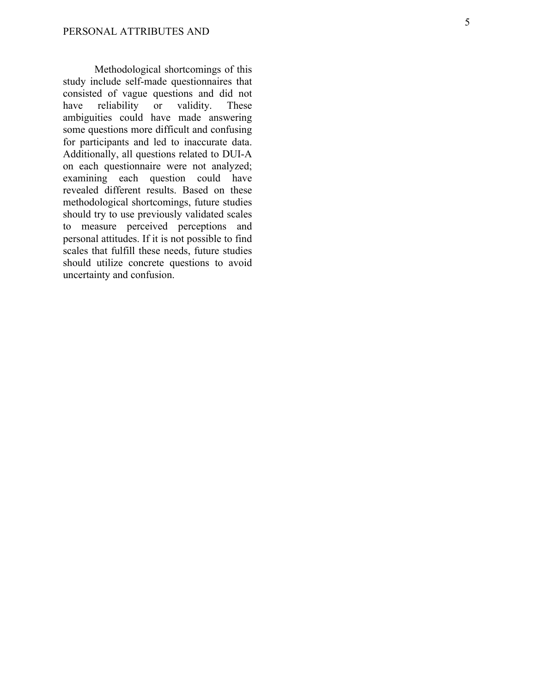Methodological shortcomings of this study include self-made questionnaires that consisted of vague questions and did not have reliability or validity. These ambiguities could have made answering some questions more difficult and confusing for participants and led to inaccurate data. Additionally, all questions related to DUI -A on each questionnaire were not analyzed; examining each question could have revealed different results. Based on these methodological shortcomings, future studies should try to use previously validated scales to measure perceived perceptions and personal attitudes. If it is not possible to find scales that fulfill these needs, future studies should utilize concrete questions to avoid uncertainty and confusion.